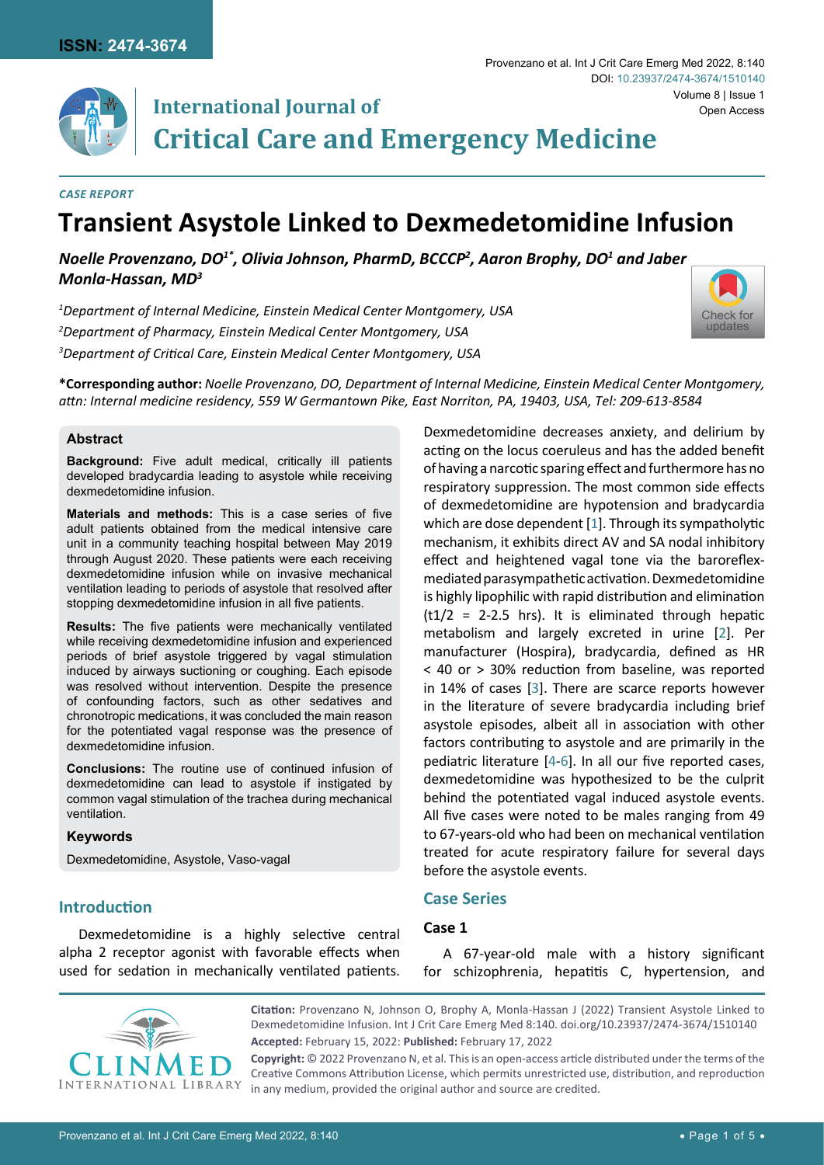

# **International Journal of Critical Care and Emergency Medicine**

#### *Case Report*

# **Transient Asystole Linked to Dexmedetomidine Infusion**

*Noelle Provenzano, DO1\*, Olivia Johnson, PharmD, BCCCP2 , Aaron Brophy, DO1 and Jaber Monla-Hassan, MD3*

*1 Department of Internal Medicine, Einstein Medical Center Montgomery, USA 2 Department of Pharmacy, Einstein Medical Center Montgomery, USA 3 Department of Critical Care, Einstein Medical Center Montgomery, USA*



**\*Corresponding author:** *Noelle Provenzano, DO, Department of Internal Medicine, Einstein Medical Center Montgomery, attn: Internal medicine residency, 559 W Germantown Pike, East Norriton, PA, 19403, USA, Tel: 209-613-8584*

#### **Abstract**

**Background:** Five adult medical, critically ill patients developed bradycardia leading to asystole while receiving dexmedetomidine infusion.

**Materials and methods:** This is a case series of five adult patients obtained from the medical intensive care unit in a community teaching hospital between May 2019 through August 2020. These patients were each receiving dexmedetomidine infusion while on invasive mechanical ventilation leading to periods of asystole that resolved after stopping dexmedetomidine infusion in all five patients.

**Results:** The five patients were mechanically ventilated while receiving dexmedetomidine infusion and experienced periods of brief asystole triggered by vagal stimulation induced by airways suctioning or coughing. Each episode was resolved without intervention. Despite the presence of confounding factors, such as other sedatives and chronotropic medications, it was concluded the main reason for the potentiated vagal response was the presence of dexmedetomidine infusion.

**Conclusions:** The routine use of continued infusion of dexmedetomidine can lead to asystole if instigated by common vagal stimulation of the trachea during mechanical ventilation.

#### **Keywords**

Dexmedetomidine, Asystole, Vaso-vagal

# **Introduction**

Dexmedetomidine is a highly selective central alpha 2 receptor agonist with favorable effects when used for sedation in mechanically ventilated patients.



## **Case Series**

### **Case 1**

A 67-year-old male with a history significant for schizophrenia, hepatitis C, hypertension, and



**Citation:** Provenzano N, Johnson O, Brophy A, Monla-Hassan J (2022) Transient Asystole Linked to Dexmedetomidine Infusion. Int J Crit Care Emerg Med 8:140. [doi.org/10.23937/2474-3674/1510140](https://doi.org/10.23937/2474-3674/1510140) **Accepted:** February 15, 2022: **Published:** February 17, 2022

**Copyright:** © 2022 Provenzano N, et al. This is an open-access article distributed under the terms of the Creative Commons Attribution License, which permits unrestricted use, distribution, and reproduction in any medium, provided the original author and source are credited.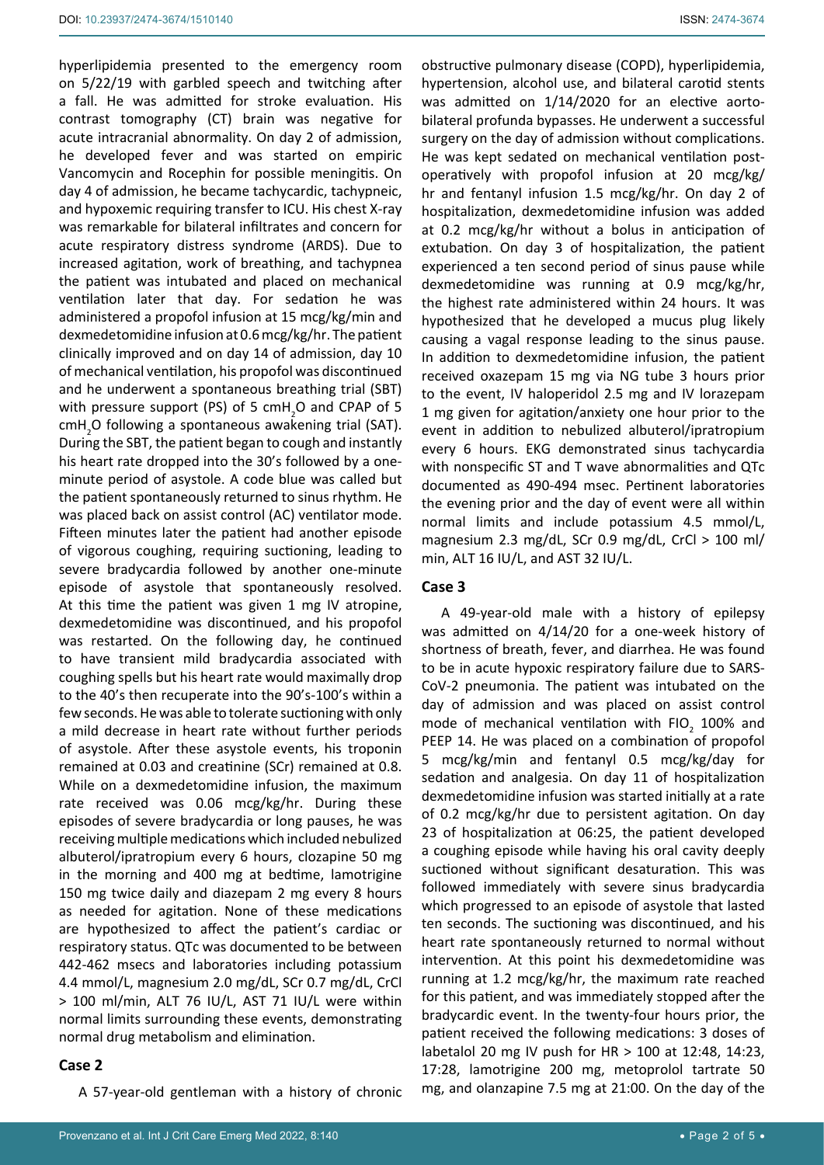hyperlipidemia presented to the emergency room on 5/22/19 with garbled speech and twitching after a fall. He was admitted for stroke evaluation. His contrast tomography (CT) brain was negative for acute intracranial abnormality. On day 2 of admission, he developed fever and was started on empiric Vancomycin and Rocephin for possible meningitis. On day 4 of admission, he became tachycardic, tachypneic, and hypoxemic requiring transfer to ICU. His chest X-ray was remarkable for bilateral infiltrates and concern for acute respiratory distress syndrome (ARDS). Due to increased agitation, work of breathing, and tachypnea the patient was intubated and placed on mechanical ventilation later that day. For sedation he was administered a propofol infusion at 15 mcg/kg/min and dexmedetomidine infusion at 0.6 mcg/kg/hr. The patient clinically improved and on day 14 of admission, day 10 of mechanical ventilation, his propofol was discontinued and he underwent a spontaneous breathing trial (SBT) with pressure support (PS) of 5 cmH<sub>2</sub>O and CPAP of 5  $\text{cmH}_{2}$ O following a spontaneous awakening trial (SAT). During the SBT, the patient began to cough and instantly his heart rate dropped into the 30's followed by a oneminute period of asystole. A code blue was called but the patient spontaneously returned to sinus rhythm. He was placed back on assist control (AC) ventilator mode. Fifteen minutes later the patient had another episode of vigorous coughing, requiring suctioning, leading to severe bradycardia followed by another one-minute episode of asystole that spontaneously resolved. At this time the patient was given 1 mg IV atropine, dexmedetomidine was discontinued, and his propofol was restarted. On the following day, he continued to have transient mild bradycardia associated with coughing spells but his heart rate would maximally drop to the 40's then recuperate into the 90's-100's within a few seconds. He was able to tolerate suctioning with only a mild decrease in heart rate without further periods of asystole. After these asystole events, his troponin remained at 0.03 and creatinine (SCr) remained at 0.8. While on a dexmedetomidine infusion, the maximum rate received was 0.06 mcg/kg/hr. During these episodes of severe bradycardia or long pauses, he was receiving multiple medications which included nebulized albuterol/ipratropium every 6 hours, clozapine 50 mg in the morning and 400 mg at bedtime, lamotrigine 150 mg twice daily and diazepam 2 mg every 8 hours as needed for agitation. None of these medications are hypothesized to affect the patient's cardiac or respiratory status. QTc was documented to be between 442-462 msecs and laboratories including potassium 4.4 mmol/L, magnesium 2.0 mg/dL, SCr 0.7 mg/dL, CrCl > 100 ml/min, ALT 76 IU/L, AST 71 IU/L were within normal limits surrounding these events, demonstrating normal drug metabolism and elimination.

### **Case 2**

A 57-year-old gentleman with a history of chronic

obstructive pulmonary disease (COPD), hyperlipidemia, hypertension, alcohol use, and bilateral carotid stents was admitted on 1/14/2020 for an elective aortobilateral profunda bypasses. He underwent a successful surgery on the day of admission without complications. He was kept sedated on mechanical ventilation postoperatively with propofol infusion at 20 mcg/kg/ hr and fentanyl infusion 1.5 mcg/kg/hr. On day 2 of hospitalization, dexmedetomidine infusion was added at 0.2 mcg/kg/hr without a bolus in anticipation of extubation. On day 3 of hospitalization, the patient experienced a ten second period of sinus pause while dexmedetomidine was running at 0.9 mcg/kg/hr, the highest rate administered within 24 hours. It was hypothesized that he developed a mucus plug likely causing a vagal response leading to the sinus pause. In addition to dexmedetomidine infusion, the patient received oxazepam 15 mg via NG tube 3 hours prior to the event, IV haloperidol 2.5 mg and IV lorazepam 1 mg given for agitation/anxiety one hour prior to the event in addition to nebulized albuterol/ipratropium every 6 hours. EKG demonstrated sinus tachycardia with nonspecific ST and T wave abnormalities and QTc documented as 490-494 msec. Pertinent laboratories the evening prior and the day of event were all within normal limits and include potassium 4.5 mmol/L, magnesium 2.3 mg/dL, SCr 0.9 mg/dL, CrCl > 100 ml/ min, ALT 16 IU/L, and AST 32 IU/L.

### **Case 3**

A 49-year-old male with a history of epilepsy was admitted on 4/14/20 for a one-week history of shortness of breath, fever, and diarrhea. He was found to be in acute hypoxic respiratory failure due to SARS-CoV-2 pneumonia. The patient was intubated on the day of admission and was placed on assist control mode of mechanical ventilation with FIO<sub>2</sub> 100% and PEEP 14. He was placed on a combination of propofol 5 mcg/kg/min and fentanyl 0.5 mcg/kg/day for sedation and analgesia. On day 11 of hospitalization dexmedetomidine infusion was started initially at a rate of 0.2 mcg/kg/hr due to persistent agitation. On day 23 of hospitalization at 06:25, the patient developed a coughing episode while having his oral cavity deeply suctioned without significant desaturation. This was followed immediately with severe sinus bradycardia which progressed to an episode of asystole that lasted ten seconds. The suctioning was discontinued, and his heart rate spontaneously returned to normal without intervention. At this point his dexmedetomidine was running at 1.2 mcg/kg/hr, the maximum rate reached for this patient, and was immediately stopped after the bradycardic event. In the twenty-four hours prior, the patient received the following medications: 3 doses of labetalol 20 mg IV push for HR > 100 at 12:48, 14:23, 17:28, lamotrigine 200 mg, metoprolol tartrate 50 mg, and olanzapine 7.5 mg at 21:00. On the day of the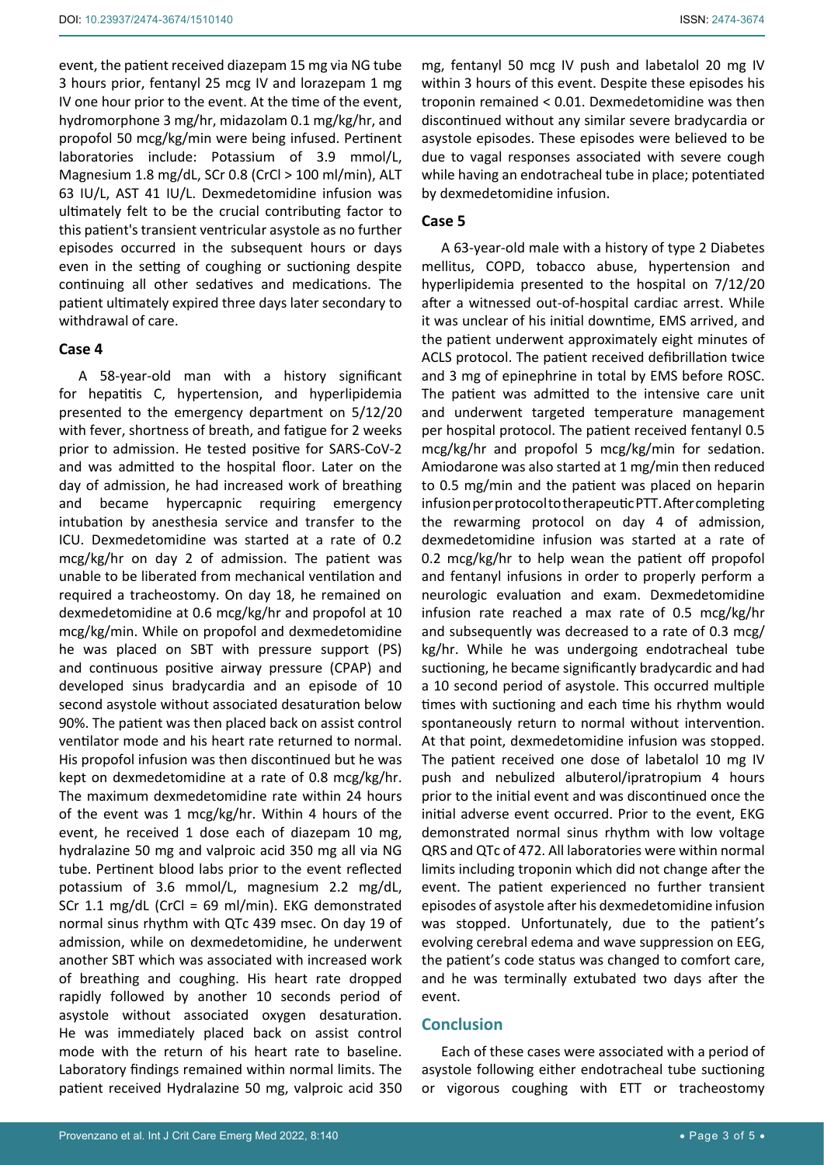event, the patient received diazepam 15 mg via NG tube 3 hours prior, fentanyl 25 mcg IV and lorazepam 1 mg IV one hour prior to the event. At the time of the event, hydromorphone 3 mg/hr, midazolam 0.1 mg/kg/hr, and propofol 50 mcg/kg/min were being infused. Pertinent laboratories include: Potassium of 3.9 mmol/L, Magnesium 1.8 mg/dL, SCr 0.8 (CrCl > 100 ml/min), ALT 63 IU/L, AST 41 IU/L. Dexmedetomidine infusion was ultimately felt to be the crucial contributing factor to this patient's transient ventricular asystole as no further episodes occurred in the subsequent hours or days even in the setting of coughing or suctioning despite continuing all other sedatives and medications. The patient ultimately expired three days later secondary to withdrawal of care.

## **Case 4**

A 58-year-old man with a history significant for hepatitis C, hypertension, and hyperlipidemia presented to the emergency department on 5/12/20 with fever, shortness of breath, and fatigue for 2 weeks prior to admission. He tested positive for SARS-CoV-2 and was admitted to the hospital floor. Later on the day of admission, he had increased work of breathing and became hypercapnic requiring emergency intubation by anesthesia service and transfer to the ICU. Dexmedetomidine was started at a rate of 0.2 mcg/kg/hr on day 2 of admission. The patient was unable to be liberated from mechanical ventilation and required a tracheostomy. On day 18, he remained on dexmedetomidine at 0.6 mcg/kg/hr and propofol at 10 mcg/kg/min. While on propofol and dexmedetomidine he was placed on SBT with pressure support (PS) and continuous positive airway pressure (CPAP) and developed sinus bradycardia and an episode of 10 second asystole without associated desaturation below 90%. The patient was then placed back on assist control ventilator mode and his heart rate returned to normal. His propofol infusion was then discontinued but he was kept on dexmedetomidine at a rate of 0.8 mcg/kg/hr. The maximum dexmedetomidine rate within 24 hours of the event was 1 mcg/kg/hr. Within 4 hours of the event, he received 1 dose each of diazepam 10 mg, hydralazine 50 mg and valproic acid 350 mg all via NG tube. Pertinent blood labs prior to the event reflected potassium of 3.6 mmol/L, magnesium 2.2 mg/dL, SCr 1.1 mg/dL (CrCl = 69 ml/min). EKG demonstrated normal sinus rhythm with QTc 439 msec. On day 19 of admission, while on dexmedetomidine, he underwent another SBT which was associated with increased work of breathing and coughing. His heart rate dropped rapidly followed by another 10 seconds period of asystole without associated oxygen desaturation. He was immediately placed back on assist control mode with the return of his heart rate to baseline. Laboratory findings remained within normal limits. The patient received Hydralazine 50 mg, valproic acid 350

mg, fentanyl 50 mcg IV push and labetalol 20 mg IV within 3 hours of this event. Despite these episodes his troponin remained < 0.01. Dexmedetomidine was then discontinued without any similar severe bradycardia or asystole episodes. These episodes were believed to be due to vagal responses associated with severe cough while having an endotracheal tube in place; potentiated by dexmedetomidine infusion.

## **Case 5**

A 63-year-old male with a history of type 2 Diabetes mellitus, COPD, tobacco abuse, hypertension and hyperlipidemia presented to the hospital on 7/12/20 after a witnessed out-of-hospital cardiac arrest. While it was unclear of his initial downtime, EMS arrived, and the patient underwent approximately eight minutes of ACLS protocol. The patient received defibrillation twice and 3 mg of epinephrine in total by EMS before ROSC. The patient was admitted to the intensive care unit and underwent targeted temperature management per hospital protocol. The patient received fentanyl 0.5 mcg/kg/hr and propofol 5 mcg/kg/min for sedation. Amiodarone was also started at 1 mg/min then reduced to 0.5 mg/min and the patient was placed on heparin infusion per protocol to therapeutic PTT. After completing the rewarming protocol on day 4 of admission, dexmedetomidine infusion was started at a rate of 0.2 mcg/kg/hr to help wean the patient off propofol and fentanyl infusions in order to properly perform a neurologic evaluation and exam. Dexmedetomidine infusion rate reached a max rate of 0.5 mcg/kg/hr and subsequently was decreased to a rate of 0.3 mcg/ kg/hr. While he was undergoing endotracheal tube suctioning, he became significantly bradycardic and had a 10 second period of asystole. This occurred multiple times with suctioning and each time his rhythm would spontaneously return to normal without intervention. At that point, dexmedetomidine infusion was stopped. The patient received one dose of labetalol 10 mg IV push and nebulized albuterol/ipratropium 4 hours prior to the initial event and was discontinued once the initial adverse event occurred. Prior to the event, EKG demonstrated normal sinus rhythm with low voltage QRS and QTc of 472. All laboratories were within normal limits including troponin which did not change after the event. The patient experienced no further transient episodes of asystole after his dexmedetomidine infusion was stopped. Unfortunately, due to the patient's evolving cerebral edema and wave suppression on EEG, the patient's code status was changed to comfort care, and he was terminally extubated two days after the event.

# **Conclusion**

Each of these cases were associated with a period of asystole following either endotracheal tube suctioning or vigorous coughing with ETT or tracheostomy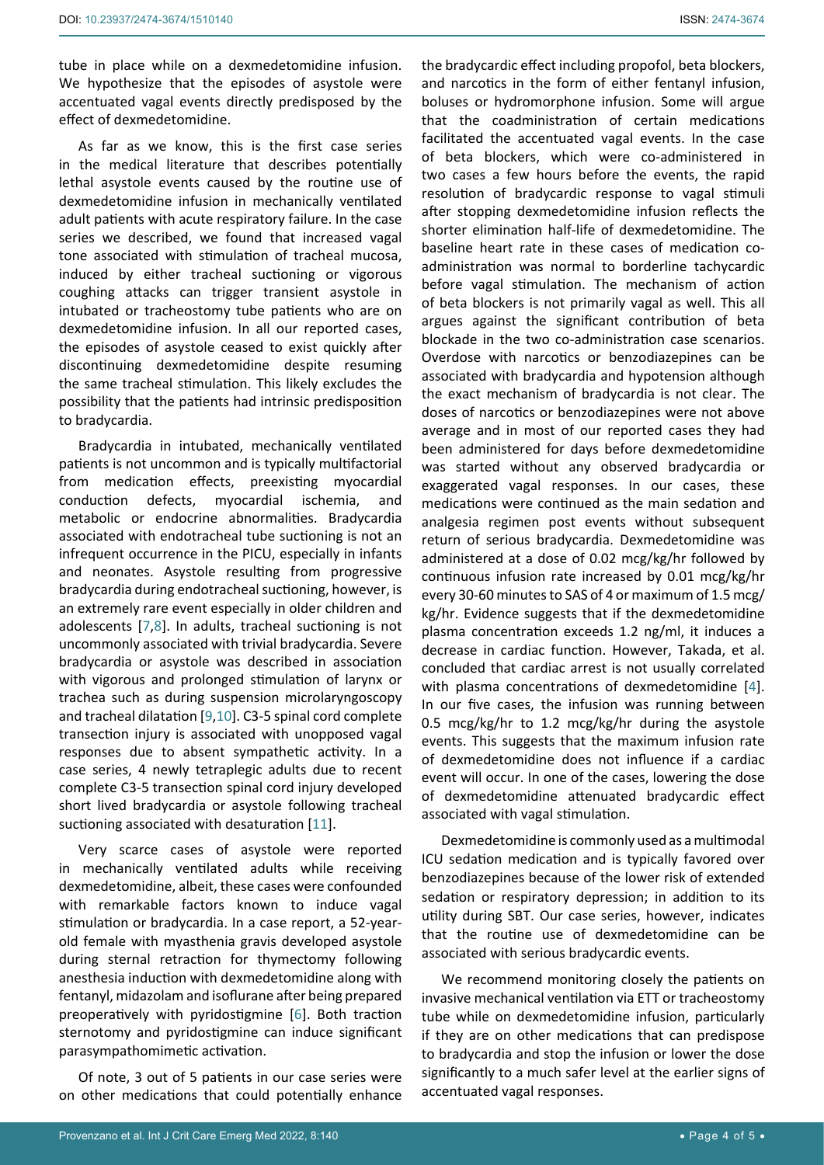tube in place while on a dexmedetomidine infusion. We hypothesize that the episodes of asystole were accentuated vagal events directly predisposed by the effect of dexmedetomidine.

As far as we know, this is the first case series in the medical literature that describes potentially lethal asystole events caused by the routine use of dexmedetomidine infusion in mechanically ventilated adult patients with acute respiratory failure. In the case series we described, we found that increased vagal tone associated with stimulation of tracheal mucosa, induced by either tracheal suctioning or vigorous coughing attacks can trigger transient asystole in intubated or tracheostomy tube patients who are on dexmedetomidine infusion. In all our reported cases, the episodes of asystole ceased to exist quickly after discontinuing dexmedetomidine despite resuming the same tracheal stimulation. This likely excludes the possibility that the patients had intrinsic predisposition to bradycardia.

Bradycardia in intubated, mechanically ventilated patients is not uncommon and is typically multifactorial from medication effects, preexisting myocardial conduction defects, myocardial ischemia, and metabolic or endocrine abnormalities. Bradycardia associated with endotracheal tube suctioning is not an infrequent occurrence in the PICU, especially in infants and neonates. Asystole resulting from progressive bradycardia during endotracheal suctioning, however, is an extremely rare event especially in older children and adolescents [[7,](#page-4-5)[8](#page-4-6)]. In adults, tracheal suctioning is not uncommonly associated with trivial bradycardia. Severe bradycardia or asystole was described in association with vigorous and prolonged stimulation of larynx or trachea such as during suspension microlaryngoscopy and tracheal dilatation [[9,](#page-4-7)[10\]](#page-4-8). C3-5 spinal cord complete transection injury is associated with unopposed vagal responses due to absent sympathetic activity. In a case series, 4 newly tetraplegic adults due to recent complete C3-5 transection spinal cord injury developed short lived bradycardia or asystole following tracheal suctioning associated with desaturation [[11\]](#page-4-9).

Very scarce cases of asystole were reported in mechanically ventilated adults while receiving dexmedetomidine, albeit, these cases were confounded with remarkable factors known to induce vagal stimulation or bradycardia. In a case report, a 52-yearold female with myasthenia gravis developed asystole during sternal retraction for thymectomy following anesthesia induction with dexmedetomidine along with fentanyl, midazolam and isoflurane after being prepared preoperatively with pyridostigmine [[6](#page-4-4)]. Both traction sternotomy and pyridostigmine can induce significant parasympathomimetic activation.

Of note, 3 out of 5 patients in our case series were on other medications that could potentially enhance the bradycardic effect including propofol, beta blockers, and narcotics in the form of either fentanyl infusion, boluses or hydromorphone infusion. Some will argue that the coadministration of certain medications facilitated the accentuated vagal events. In the case of beta blockers, which were co-administered in two cases a few hours before the events, the rapid resolution of bradycardic response to vagal stimuli after stopping dexmedetomidine infusion reflects the shorter elimination half-life of dexmedetomidine. The baseline heart rate in these cases of medication coadministration was normal to borderline tachycardic before vagal stimulation. The mechanism of action of beta blockers is not primarily vagal as well. This all argues against the significant contribution of beta blockade in the two co-administration case scenarios. Overdose with narcotics or benzodiazepines can be associated with bradycardia and hypotension although the exact mechanism of bradycardia is not clear. The doses of narcotics or benzodiazepines were not above average and in most of our reported cases they had been administered for days before dexmedetomidine was started without any observed bradycardia or exaggerated vagal responses. In our cases, these medications were continued as the main sedation and analgesia regimen post events without subsequent return of serious bradycardia. Dexmedetomidine was administered at a dose of 0.02 mcg/kg/hr followed by continuous infusion rate increased by 0.01 mcg/kg/hr every 30-60 minutes to SAS of 4 or maximum of 1.5 mcg/ kg/hr. Evidence suggests that if the dexmedetomidine plasma concentration exceeds 1.2 ng/ml, it induces a decrease in cardiac function. However, Takada, et al. concluded that cardiac arrest is not usually correlated with plasma concentrations of dexmedetomidine [[4\]](#page-4-3). In our five cases, the infusion was running between 0.5 mcg/kg/hr to 1.2 mcg/kg/hr during the asystole events. This suggests that the maximum infusion rate of dexmedetomidine does not influence if a cardiac event will occur. In one of the cases, lowering the dose of dexmedetomidine attenuated bradycardic effect associated with vagal stimulation.

Dexmedetomidine is commonly used as a multimodal ICU sedation medication and is typically favored over benzodiazepines because of the lower risk of extended sedation or respiratory depression; in addition to its utility during SBT. Our case series, however, indicates that the routine use of dexmedetomidine can be associated with serious bradycardic events.

We recommend monitoring closely the patients on invasive mechanical ventilation via ETT or tracheostomy tube while on dexmedetomidine infusion, particularly if they are on other medications that can predispose to bradycardia and stop the infusion or lower the dose significantly to a much safer level at the earlier signs of accentuated vagal responses.